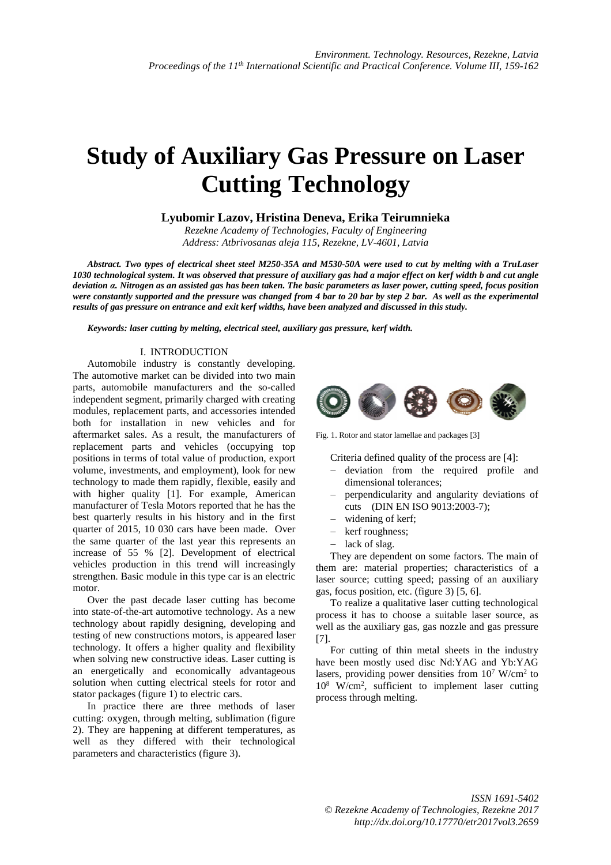# **Study of Auxiliary Gas Pressure on Laser Cutting Technology**

## **Lyubomir Lazov, Hristina Deneva, Erika Teirumnieka**

*Rezekne Academy of Technologies, Faculty of Engineering Address: Atbrivosanas aleja 115, Rezekne, LV-4601, Latvia*

*Abstract. Two types of electrical sheet steel M250-35A and M530-50A were used to cut by melting with a TruLaser 1030 technological system. It was observed that pressure of auxiliary gas had a major effect on kerf width b and cut angle deviation α. Nitrogen as an assisted gas has been taken. The basic parameters as laser power, cutting speed, focus position were constantly supported and the pressure was changed from 4 bar to 20 bar by step 2 bar. As well as the experimental results of gas pressure on entrance and exit kerf widths, have been analyzed and discussed in this study.* 

*Keywords: laser cutting by melting, electrical steel, auxiliary gas pressure, kerf width.* 

#### I. INTRODUCTION

Automobile industry is constantly developing. The automotive market can be divided into two main parts, automobile manufacturers and the so-called independent segment, primarily charged with creating modules, replacement parts, and accessories intended both for installation in new vehicles and for aftermarket sales. As a result, the manufacturers of replacement parts and vehicles (occupying top positions in terms of total value of production, export volume, investments, and employment), look for new technology to made them rapidly, flexible, easily and with higher quality [1]. For example, American manufacturer of Tesla Motors reported that he has the best quarterly results in his history and in the first quarter of 2015, 10 030 cars have been made. Over the same quarter of the last year this represents an increase of 55 % [2]. Development of electrical vehicles production in this trend will increasingly strengthen. Basic module in this type car is an electric motor.

Over the past decade laser cutting has become into state-of-the-art automotive technology. As a new technology about rapidly designing, developing and testing of new constructions motors, is appeared laser technology. It offers a higher quality and flexibility when solving new constructive ideas. Laser cutting is an energetically and economically advantageous solution when cutting electrical steels for rotor and stator packages (figure 1) to electric cars.

In practice there are three methods of laser cutting: oxygen, through melting, sublimation (figure 2). They are happening at different temperatures, as well as they differed with their technological parameters and characteristics (figure 3).



Fig. 1. Rotor and stator lamellae and packages [3]

Criteria defined quality of the process are [4]:

- − deviation from the required profile and dimensional tolerances;
- − perpendicularity and angularity deviations of cuts (DIN EN ISO 9013:2003-7);
- − widening of kerf;
- − kerf roughness;
- − lack of slag.

They are dependent on some factors. The main of them are: material properties; characteristics of a laser source; cutting speed; passing of an auxiliary gas, focus position, etc. (figure 3) [5, 6].

To realize a qualitative laser cutting technological process it has to choose a suitable laser source, as well as the auxiliary gas, gas nozzle and gas pressure [7].

For cutting of thin metal sheets in the industry have been mostly used disc Nd:YAG and Yb:YAG lasers, providing power densities from  $10^7$  W/cm<sup>2</sup> to 10<sup>8</sup> W/cm<sup>2</sup>, sufficient to implement laser cutting process through melting.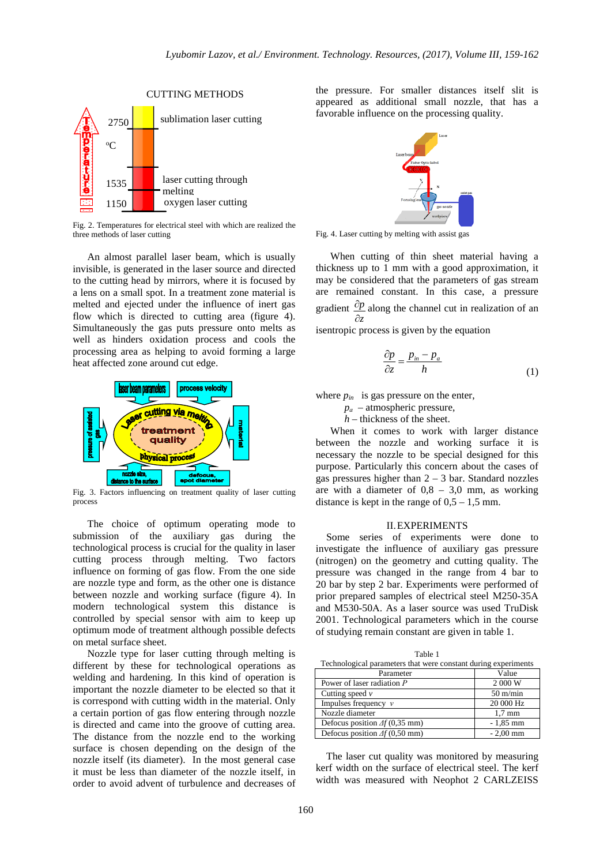

Fig. 2. Temperatures for electrical steel with which are realized the three methods of laser cutting

An almost parallel laser beam, which is usually invisible, is generated in the laser source and directed to the cutting head by mirrors, where it is focused by a lens on a small spot. In a treatment zone material is melted and ejected under the influence of inert gas flow which is directed to cutting area (figure 4). Simultaneously the gas puts pressure onto melts as well as hinders oxidation process and cools the processing area as helping to avoid forming a large heat affected zone around cut edge.



Fig. 3. Factors influencing on treatment quality of laser cutting process

The choice of optimum operating mode to submission of the auxiliary gas during the technological process is crucial for the quality in laser cutting process through melting. Two factors influence on forming of gas flow. From the one side are nozzle type and form, as the other one is distance between nozzle and working surface (figure 4). In modern technological system this distance is controlled by special sensor with aim to keep up optimum mode of treatment although possible defects on metal surface sheet.

Nozzle type for laser cutting through melting is different by these for technological operations as welding and hardening. In this kind of operation is important the nozzle diameter to be elected so that it is correspond with cutting width in the material. Only a certain portion of gas flow entering through nozzle is directed and came into the groove of cutting area. The distance from the nozzle end to the working surface is chosen depending on the design of the nozzle itself (its diameter). In the most general case it must be less than diameter of the nozzle itself, in order to avoid advent of turbulence and decreases of the pressure. For smaller distances itself slit is appeared as additional small nozzle, that has a favorable influence on the processing quality.



Fig. 4. Laser cutting by melting with assist gas

When cutting of thin sheet material having a thickness up to 1 mm with a good approximation, it may be considered that the parameters of gas stream are remained constant. In this case, a pressure gradient  $\frac{\partial p}{\partial r}$  along the channel cut in realization of an *z* ∂ isentropic process is given by the equation

$$
\frac{\partial p}{\partial z} = \frac{p_{in} - p_a}{h} \tag{1}
$$

where  $p_{in}$  is gas pressure on the enter,

*pа* – atmospheric pressure,

*h* – thickness of the sheet.

When it comes to work with larger distance between the nozzle and working surface it is necessary the nozzle to be special designed for this purpose. Particularly this concern about the cases of gas pressures higher than  $2 - 3$  bar. Standard nozzles are with a diameter of  $0.8 - 3.0$  mm, as working distance is kept in the range of  $0.5 - 1.5$  mm.

#### II.EXPERIMENTS

Some series of experiments were done to investigate the influence of auxiliary gas pressure (nitrogen) on the geometry and cutting quality. The pressure was changed in the range from 4 bar to 20 bar by step 2 bar. Experiments were performed of prior prepared samples of electrical steel М250-35А and М530-50А. As a laser source was used TruDisk 2001. Technological parameters which in the course of studying remain constant are given in table 1.

| Table 1                                                        |                    |  |
|----------------------------------------------------------------|--------------------|--|
| Technological parameters that were constant during experiments |                    |  |
| Parameter                                                      | Value              |  |
| Power of laser radiation P                                     | 2 000 W            |  |
| Cutting speed $\nu$                                            | $50 \text{ m/min}$ |  |
| Impulses frequency $\nu$                                       | 20 000 Hz          |  |
| Nozzle diameter                                                | $1,7$ mm           |  |
| Defocus position $\Delta f$ (0,35 mm)                          | $-1,85$ mm         |  |
| Defocus position $\Delta f$ (0,50 mm)                          | $-2.00$ mm         |  |

The laser cut quality was monitored by measuring kerf width on the surface of electrical steel. The kerf width was measured with Neophot 2 CARLZEISS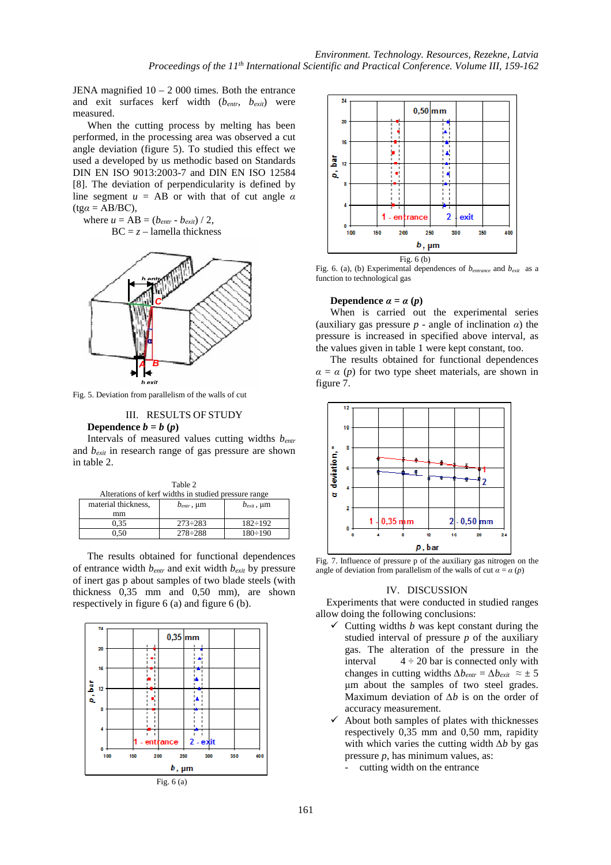JENA magnified  $10 - 2000$  times. Both the entrance and exit surfaces kerf width (*bentr, bexit*) were measured.

When the cutting process by melting has been performed, in the processing area was observed a cut angle deviation (figure 5). To studied this effect we used a developed by us methodic based on Standards DIN EN ISO 9013:2003-7 and DIN EN ISO 12584 [8]. The deviation of perpendicularity is defined by line segment  $u = AB$  or with that of cut angle  $\alpha$ (tg*α* = АВ/BС),

where  $u = AB = (b_{entr} - b_{exit}) / 2$ ,

 $BC = z - lamella thickness$ 



Fig. 5. Deviation from parallelism of the walls of cut

## III. RESULTS OF STUDY

#### **Dependence**  $b = b(p)$

Intervals of measured values cutting widths *bentr* and *bexit* in research range of gas pressure are shown in table 2.

| Table 2                                              |                             |                 |
|------------------------------------------------------|-----------------------------|-----------------|
| Alterations of kerf widths in studied pressure range |                             |                 |
| material thickness.                                  | $b_{\text{entr}}$ , $\mu$ m | $b_{exit}$ , µm |
| mm                                                   |                             |                 |
| 0.35                                                 | $273 \div 283$              | $182 \div 192$  |
| N 50                                                 | $278 \div 288$              | $180 \div 190$  |

The results obtained for functional dependences of entrance width *bentr* and exit width *bexit* by pressure of inert gas p about samples of two blade steels (with thickness 0,35 mm and 0,50 mm), are shown respectively in figure 6 (a) and figure 6 (b).





Fig. 6. (a), (b) Experimental dependences of  $b_{entrance}$  and  $b_{exit}$  as a function to technological gas

#### **Dependence**  $\alpha = \alpha(p)$

When is carried out the experimental series (auxiliary gas pressure  $p$  - angle of inclination  $\alpha$ ) the pressure is increased in specified above interval, as the values given in table 1 were kept constant, too.

The results obtained for functional dependences  $\alpha = \alpha$  (*p*) for two type sheet materials, are shown in figure 7.



Fig. 7. Influence of pressure p of the auxiliary gas nitrogen on the angle of deviation from parallelism of the walls of cut  $\alpha = \alpha(p)$ 

#### IV. DISCUSSION

Experiments that were conducted in studied ranges allow doing the following conclusions:

- $\checkmark$  Cutting widths *b* was kept constant during the studied interval of pressure *p* of the auxiliary gas. The alteration of the pressure in the interval  $4 \div 20$  bar is connected only with changes in cutting widths  $\Delta b_{entr} = \Delta b_{exit} \approx \pm 5$ μm about the samples of two steel grades. Maximum deviation of *∆b* is on the order of accuracy measurement.
- $\checkmark$  About both samples of plates with thicknesses respectively 0,35 mm and 0,50 mm, rapidity with which varies the cutting width *∆b* by gas pressure *p*, has minimum values, as:
	- cutting width on the entrance